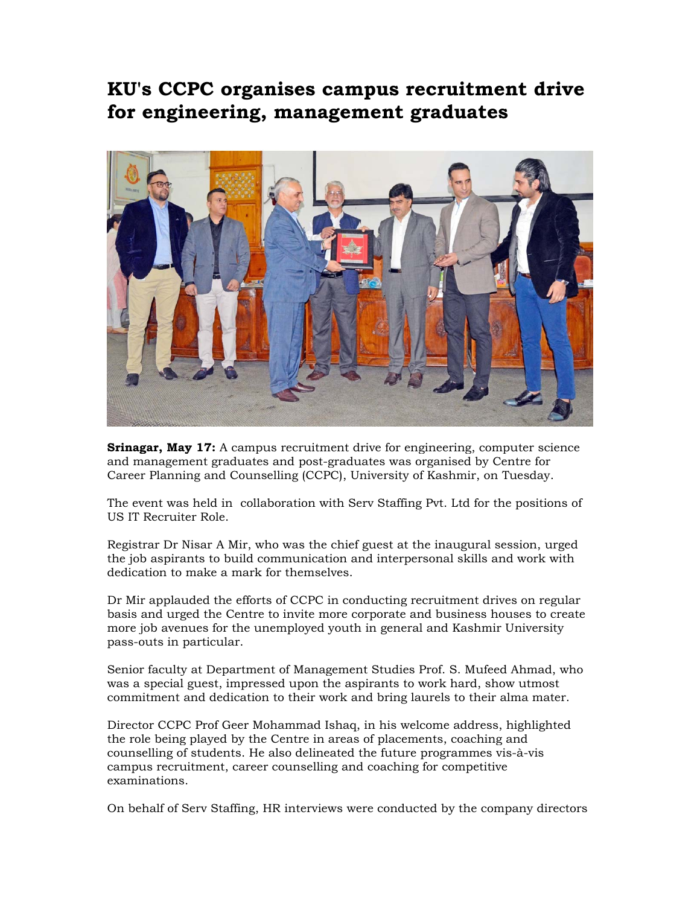## **KU's CCPC organises campus recruitment drive for engineering, management graduates**



**Srinagar, May 17:** A campus recruitment drive for engineering, computer science and management graduates and post-graduates was organised by Centre for Career Planning and Counselling (CCPC), University of Kashmir, on Tuesday.

The event was held in collaboration with Serv Staffing Pvt. Ltd for the positions of US IT Recruiter Role.

Registrar Dr Nisar A Mir, who was the chief guest at the inaugural session, urged the job aspirants to build communication and interpersonal skills and work with dedication to make a mark for themselves.

Dr Mir applauded the efforts of CCPC in conducting recruitment drives on regular basis and urged the Centre to invite more corporate and business houses to create more job avenues for the unemployed youth in general and Kashmir University pass-outs in particular.

Senior faculty at Department of Management Studies Prof. S. Mufeed Ahmad, who was a special guest, impressed upon the aspirants to work hard, show utmost commitment and dedication to their work and bring laurels to their alma mater.

Director CCPC Prof Geer Mohammad Ishaq, in his welcome address, highlighted the role being played by the Centre in areas of placements, coaching and counselling of students. He also delineated the future programmes vis-à-vis campus recruitment, career counselling and coaching for competitive examinations.

On behalf of Serv Staffing, HR interviews were conducted by the company directors